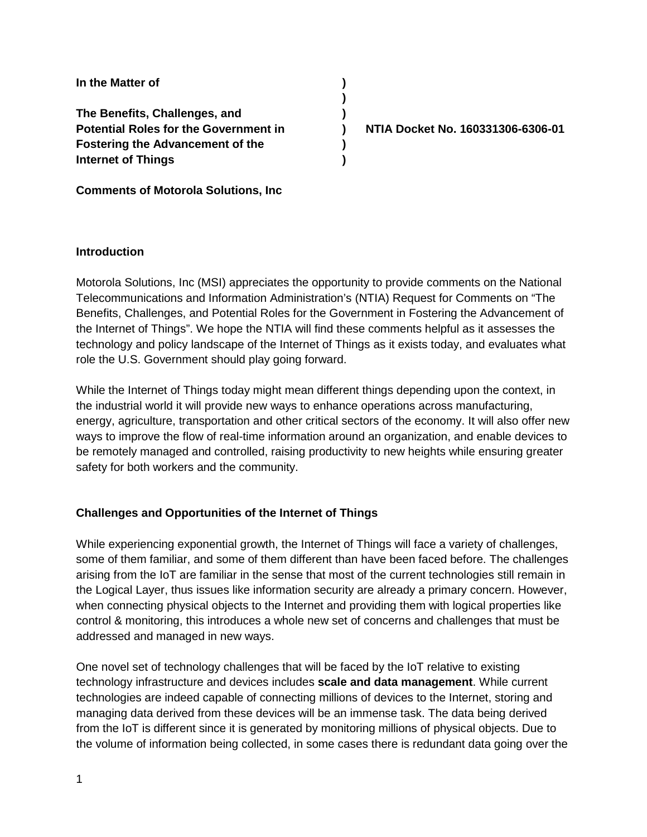**In the Matter of ) The Benefits, Challenges, and ) Potential Roles for the Government in ) NTIA Docket No. 160331306-6306-01 Fostering the Advancement of the ) Internet of Things )**

**Comments of Motorola Solutions, Inc**

#### **Introduction**

Motorola Solutions, Inc (MSI) appreciates the opportunity to provide comments on the National Telecommunications and Information Administration's (NTIA) Request for Comments on "The Benefits, Challenges, and Potential Roles for the Government in Fostering the Advancement of the Internet of Things". We hope the NTIA will find these comments helpful as it assesses the technology and policy landscape of the Internet of Things as it exists today, and evaluates what role the U.S. Government should play going forward.

**)**

While the Internet of Things today might mean different things depending upon the context, in the industrial world it will provide new ways to enhance operations across manufacturing, energy, agriculture, transportation and other critical sectors of the economy. It will also offer new ways to improve the flow of real-time information around an organization, and enable devices to be remotely managed and controlled, raising productivity to new heights while ensuring greater safety for both workers and the community.

### **Challenges and Opportunities of the Internet of Things**

While experiencing exponential growth, the Internet of Things will face a variety of challenges, some of them familiar, and some of them different than have been faced before. The challenges arising from the IoT are familiar in the sense that most of the current technologies still remain in the Logical Layer, thus issues like information security are already a primary concern. However, when connecting physical objects to the Internet and providing them with logical properties like control & monitoring, this introduces a whole new set of concerns and challenges that must be addressed and managed in new ways.

One novel set of technology challenges that will be faced by the IoT relative to existing technology infrastructure and devices includes **scale and data management**. While current technologies are indeed capable of connecting millions of devices to the Internet, storing and managing data derived from these devices will be an immense task. The data being derived from the IoT is different since it is generated by monitoring millions of physical objects. Due to the volume of information being collected, in some cases there is redundant data going over the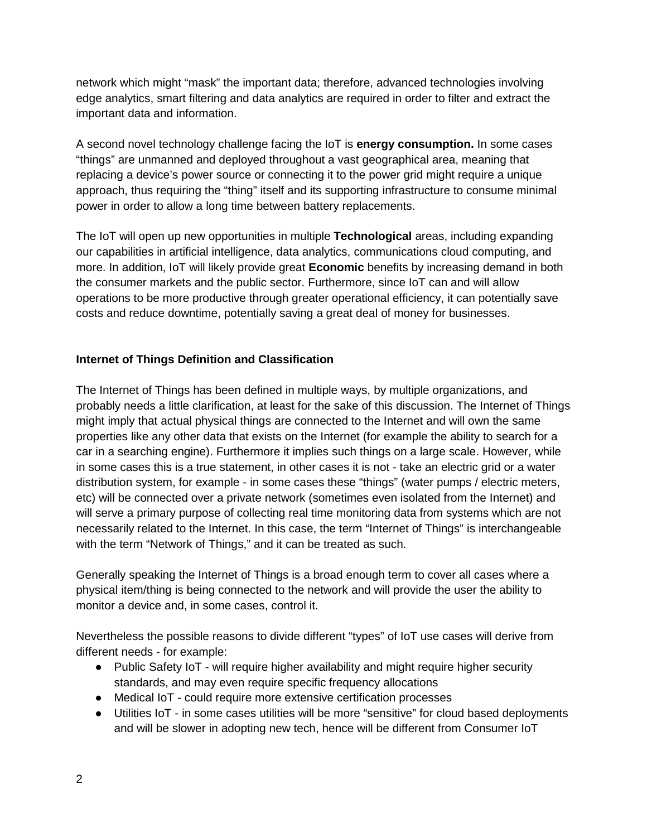network which might "mask" the important data; therefore, advanced technologies involving edge analytics, smart filtering and data analytics are required in order to filter and extract the important data and information.

A second novel technology challenge facing the IoT is **energy consumption.** In some cases "things" are unmanned and deployed throughout a vast geographical area, meaning that replacing a device's power source or connecting it to the power grid might require a unique approach, thus requiring the "thing" itself and its supporting infrastructure to consume minimal power in order to allow a long time between battery replacements.

The IoT will open up new opportunities in multiple **Technological** areas, including expanding our capabilities in artificial intelligence, data analytics, communications cloud computing, and more. In addition, IoT will likely provide great **Economic** benefits by increasing demand in both the consumer markets and the public sector. Furthermore, since IoT can and will allow operations to be more productive through greater operational efficiency, it can potentially save costs and reduce downtime, potentially saving a great deal of money for businesses.

## **Internet of Things Definition and Classification**

The Internet of Things has been defined in multiple ways, by multiple organizations, and probably needs a little clarification, at least for the sake of this discussion. The Internet of Things might imply that actual physical things are connected to the Internet and will own the same properties like any other data that exists on the Internet (for example the ability to search for a car in a searching engine). Furthermore it implies such things on a large scale. However, while in some cases this is a true statement, in other cases it is not - take an electric grid or a water distribution system, for example - in some cases these "things" (water pumps / electric meters, etc) will be connected over a private network (sometimes even isolated from the Internet) and will serve a primary purpose of collecting real time monitoring data from systems which are not necessarily related to the Internet. In this case, the term "Internet of Things" is interchangeable with the term "Network of Things," and it can be treated as such.

Generally speaking the Internet of Things is a broad enough term to cover all cases where a physical item/thing is being connected to the network and will provide the user the ability to monitor a device and, in some cases, control it.

Nevertheless the possible reasons to divide different "types" of IoT use cases will derive from different needs - for example:

- Public Safety IoT will require higher availability and might require higher security standards, and may even require specific frequency allocations
- Medical IoT could require more extensive certification processes
- Utilities IoT in some cases utilities will be more "sensitive" for cloud based deployments and will be slower in adopting new tech, hence will be different from Consumer IoT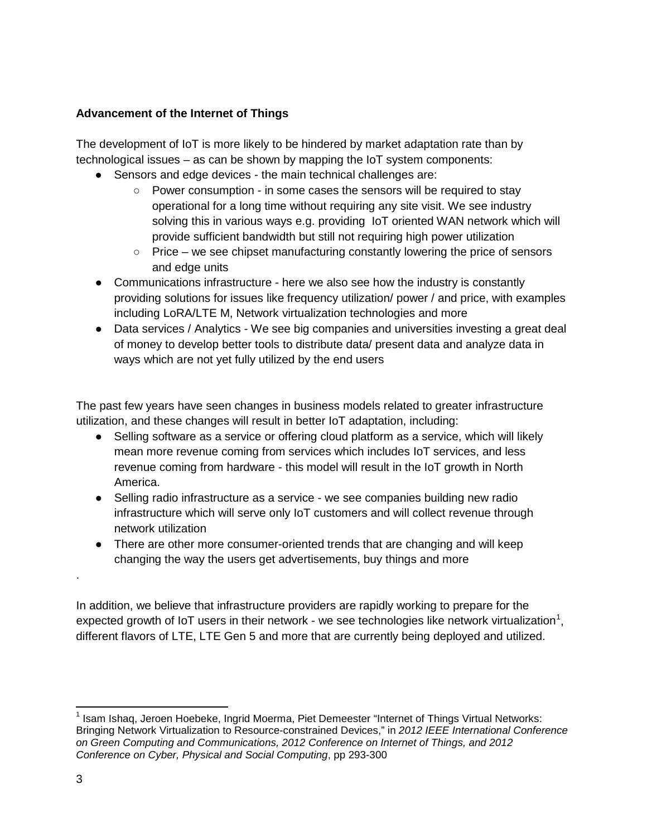## **Advancement of the Internet of Things**

The development of IoT is more likely to be hindered by market adaptation rate than by technological issues – as can be shown by mapping the IoT system components:

- Sensors and edge devices the main technical challenges are:
	- Power consumption in some cases the sensors will be required to stay operational for a long time without requiring any site visit. We see industry solving this in various ways e.g. providing IoT oriented WAN network which will provide sufficient bandwidth but still not requiring high power utilization
	- $\circ$  Price we see chipset manufacturing constantly lowering the price of sensors and edge units
- Communications infrastructure here we also see how the industry is constantly providing solutions for issues like frequency utilization/ power / and price, with examples including LoRA/LTE M, Network virtualization technologies and more
- Data services / Analytics We see big companies and universities investing a great deal of money to develop better tools to distribute data/ present data and analyze data in ways which are not yet fully utilized by the end users

The past few years have seen changes in business models related to greater infrastructure utilization, and these changes will result in better IoT adaptation, including:

- Selling software as a service or offering cloud platform as a service, which will likely mean more revenue coming from services which includes IoT services, and less revenue coming from hardware - this model will result in the IoT growth in North America.
- Selling radio infrastructure as a service we see companies building new radio infrastructure which will serve only IoT customers and will collect revenue through network utilization
- There are other more consumer-oriented trends that are changing and will keep changing the way the users get advertisements, buy things and more

In addition, we believe that infrastructure providers are rapidly working to prepare for the expected growth of IoT users in their network - we see technologies like network virtualization<sup>[1](#page-2-0)</sup>, different flavors of LTE, LTE Gen 5 and more that are currently being deployed and utilized.

.

<span id="page-2-0"></span><sup>&</sup>lt;sup>1</sup> Isam Ishaq, Jeroen Hoebeke, Ingrid Moerma, Piet Demeester "Internet of Things Virtual Networks: Bringing Network Virtualization to Resource-constrained Devices," in *2012 IEEE International Conference on Green Computing and Communications, 2012 Conference on Internet of Things, and 2012 Conference on Cyber, Physical and Social Computing*, pp 293-300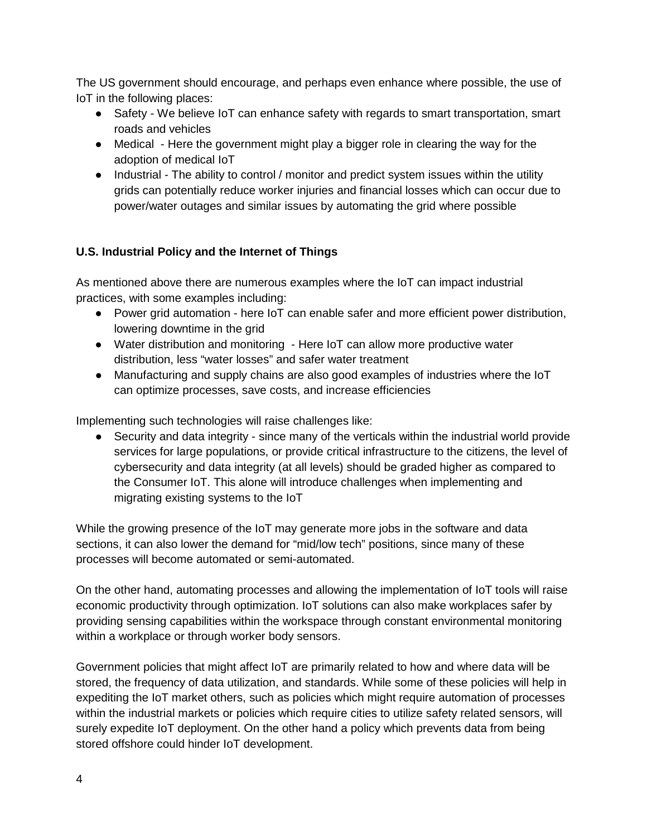The US government should encourage, and perhaps even enhance where possible, the use of IoT in the following places:

- Safety We believe IoT can enhance safety with regards to smart transportation, smart roads and vehicles
- Medical Here the government might play a bigger role in clearing the way for the adoption of medical IoT
- Industrial The ability to control / monitor and predict system issues within the utility grids can potentially reduce worker injuries and financial losses which can occur due to power/water outages and similar issues by automating the grid where possible

# **U.S. Industrial Policy and the Internet of Things**

As mentioned above there are numerous examples where the IoT can impact industrial practices, with some examples including:

- Power grid automation here IoT can enable safer and more efficient power distribution, lowering downtime in the grid
- Water distribution and monitoring Here IoT can allow more productive water distribution, less "water losses" and safer water treatment
- Manufacturing and supply chains are also good examples of industries where the IoT can optimize processes, save costs, and increase efficiencies

Implementing such technologies will raise challenges like:

• Security and data integrity - since many of the verticals within the industrial world provide services for large populations, or provide critical infrastructure to the citizens, the level of cybersecurity and data integrity (at all levels) should be graded higher as compared to the Consumer IoT. This alone will introduce challenges when implementing and migrating existing systems to the IoT

While the growing presence of the IoT may generate more jobs in the software and data sections, it can also lower the demand for "mid/low tech" positions, since many of these processes will become automated or semi-automated.

On the other hand, automating processes and allowing the implementation of IoT tools will raise economic productivity through optimization. IoT solutions can also make workplaces safer by providing sensing capabilities within the workspace through constant environmental monitoring within a workplace or through worker body sensors.

Government policies that might affect IoT are primarily related to how and where data will be stored, the frequency of data utilization, and standards. While some of these policies will help in expediting the IoT market others, such as policies which might require automation of processes within the industrial markets or policies which require cities to utilize safety related sensors, will surely expedite IoT deployment. On the other hand a policy which prevents data from being stored offshore could hinder IoT development.